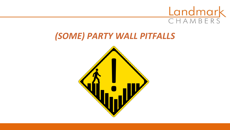

### *(SOME) PARTY WALL PITFALLS*

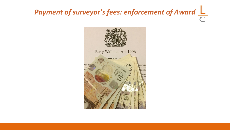# *Payment of surveyor's fees: enforcement of Award*

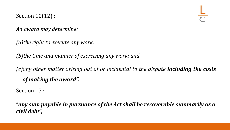Section 10(12) :

*An award may determine:*

*(a)the right to execute any work;*

*(b)the time and manner of exercising any work; and*

*(c)any other matter arising out of or incidental to the dispute including the costs of making the award".*

Section 17 :

"*any sum payable in pursuance of the Act shall be recoverable summarily as a civil debt***",**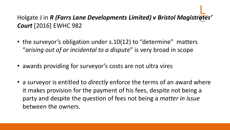#### Holgate J in *R (Farrs Lane Developments Limited) v Bristol Magistrates' Court* [2016] EWHC 982

- the surveyor's obligation under s.10(12) to "determine" matters "*arising out of or incidental to a dispute*" is very broad in scope
- awards providing for surveyor's costs are not ultra vires
- a surveyor is entitled to *directly* enforce the terms of an award where it makes provision for the payment of his fees, despite not being a party and despite the question of fees not being a *matter in issue*  between the owners.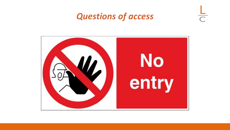### *Questions of access*



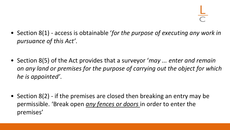- Section 8(1) access is obtainable '*for the purpose of executing any work in pursuance of this Act'*.
- Section 8(5) of the Act provides that a surveyor '*may ... enter and remain on any land or premises for the purpose of carrying out the object for which he is appointed'*.
- Section 8(2) if the premises are closed then breaking an entry may be permissible. 'Break open *any fences or doors* in order to enter the premises'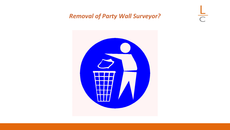#### *Removal of Party Wall Surveyor?*

 $\frac{1}{\sqrt{2}}$ 

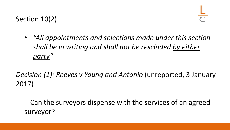#### Section 10(2)

• *"All appointments and selections made under this section shall be in writing and shall not be rescinded by either party".* 

#### *Decision (1): Reeves v Young and Antonio* (unreported, 3 January 2017)

- Can the surveyors dispense with the services of an agreed surveyor?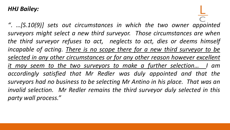#### *HHJ Bailey:*

*"*. *…[S.10(9)] sets out circumstances in which the two owner appointed surveyors might select a new third surveyor. Those circumstances are when the third surveyor refuses to act, neglects to act, dies or deems himself incapable of acting. There is no scope there for a new third surveyor to be selected in any other circumstances or for any other reason however excellent it may seem to the two surveyors to make a further selection… I am accordingly satisfied that Mr Redler was duly appointed and that the surveyors had no business to be selecting Mr Antino in his place. That was an invalid selection. Mr Redler remains the third surveyor duly selected in this party wall process."*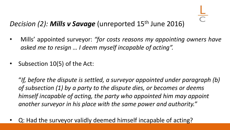#### *Decision (2): Mills v Savage* (unreported 15th June 2016)

- Mills' appointed surveyor: *"for costs reasons my appointing owners have asked me to resign … I deem myself incapable of acting".*
- Subsection 10(5) of the Act:

"*If, before the dispute is settled, a surveyor appointed under paragraph (b) of subsection (1) by a party to the dispute dies, or becomes or deems himself incapable of acting, the party who appointed him may appoint another surveyor in his place with the same power and authority."*

• Q: Had the surveyor validly deemed himself incapable of acting?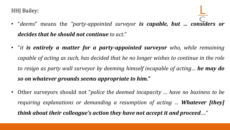HHJ Bailey:

- "*deems*" means the *"party-appointed surveyor is capable, but … considers or decides that he should not continue to act."*
- "*it is entirely a matter for a party-appointed surveyor who, while remaining capable of acting as such, has decided that he no longer wishes to continue in the role to resign as party wall surveyor by deeming himself incapable of acting… he may do so on whatever grounds seems appropriate to him."*
- Other surveyors should not "*police the deemed incapacity … have no business to be requiring explanations or demanding a resumption of acting … Whatever [they] think about their colleague's action they have not accept it and proceed…."*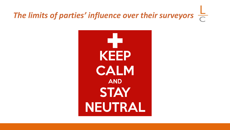## *The limits of parties' influence over their surveyors*

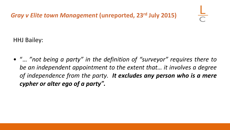*Gray v Elite town Management* **(unreported, 23rd July 2015)** 

HHJ Bailey:

• "… *"not being a party" in the definition of "surveyor" requires there to be an independent appointment to the extent that… it involves a degree of independence from the party. It excludes any person who is a mere cypher or alter ego of a party"***.**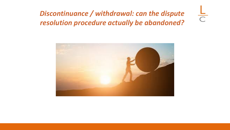#### *Discontinuance / withdrawal: can the dispute resolution procedure actually be abandoned?*

 $\frac{1}{C}$ 

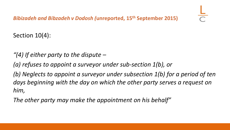Section 10(4):

- *"(4) If either party to the dispute –*
- *(a) refuses to appoint a surveyor under sub-section 1(b), or*

*(b) Neglects to appoint a surveyor under subsection 1(b) for a period of ten days beginning with the day on which the other party serves a request on him,* 

*The other party may make the appointment on his behalf"*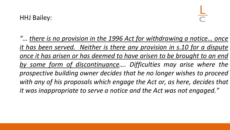*"… there is no provision in the 1996 Act for withdrawing a notice… once it has been served. Neither is there any provision in s.10 for a dispute once it has arisen or has deemed to have arisen to be brought to an end by some form of discontinuance…. Difficulties may arise where the prospective building owner decides that he no longer wishes to proceed with any of his proposals which engage the Act or, as here, decides that it was inappropriate to serve a notice and the Act was not engaged."*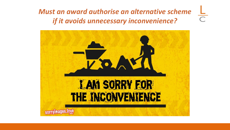*Must an award authorise an alternative scheme if it avoids unnecessary inconvenience?* 

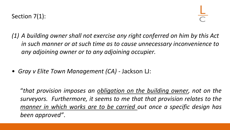- *(1) A building owner shall not exercise any right conferred on him by this Act in such manner or at such time as to cause unnecessary inconvenience to any adjoining owner or to any adjoining occupier.*
- *Gray v Elite Town Management (CA) -* Jackson LJ:

"*that provision imposes an obligation on the building owner, not on the surveyors. Furthermore, it seems to me that that provision relates to the manner in which works are to be carried out once a specific design has been approved"*.